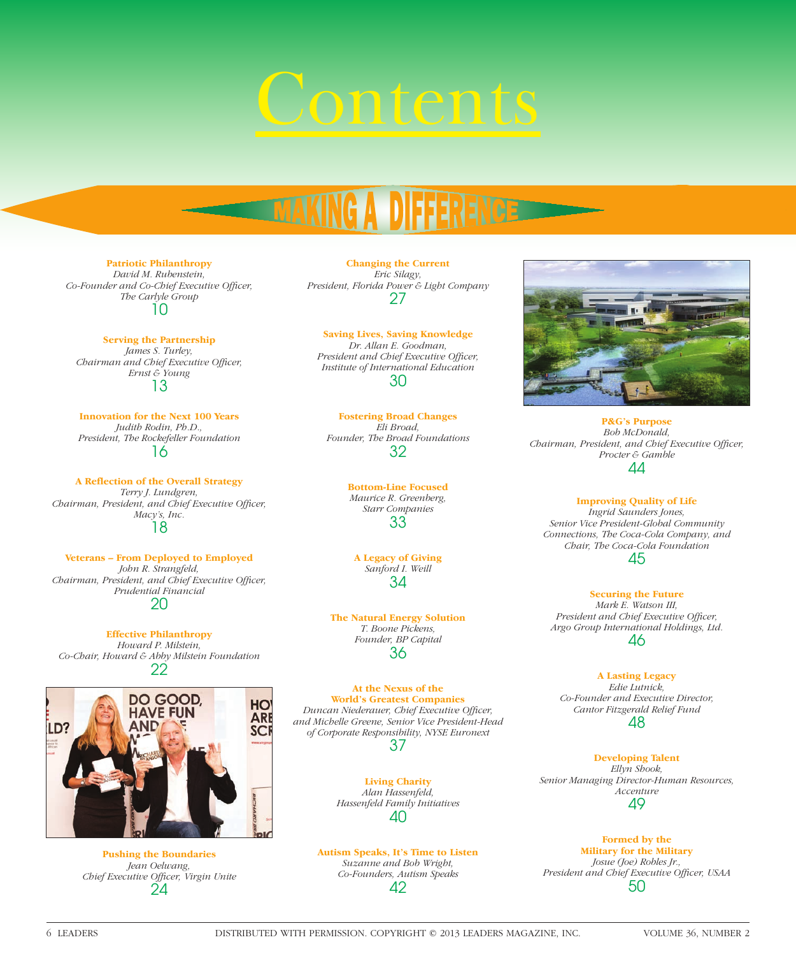## Contents

**Patriotic Philanthropy**

*David M. Rubenstein,*  Co-Founder and Co-Chief Executive Officer, *The Carlyle Group* 10

**Serving the Partnership**

*James S. Turley, Chairman and Chief Executive Officer, Ernst & Young* 13

**Innovation for the Next 100 Years** *Judith Rodin, Ph.D., President, The Rockefeller Foundation* 16

**A Reflection of the Overall Strategy** *Terry J. Lundgren, Chairman, President, and Chief Executive Officer, Macy's, Inc.* 18

**Veterans – From Deployed to Employed** *John R. Strangfeld, Chairman, President, and Chief Executive Officer, Prudential Financial* 20

**Effective Philanthropy** *Howard P. Milstein, Co-Chair, Howard & Abby Milstein Foundation* 22



**Pushing the Boundaries** *Jean Oelwang,*  **Chief Executive Officer, Virgin Unite** 24

**Changing the Current** *Eric Silagy, President, Florida Power & Light Company* 27

**Saving Lives, Saving Knowledge** *Dr. Allan E. Goodman, President and Chief Executive Officer, Institute of International Education* 30

**Fostering Broad Changes** *Eli Broad, Founder, The Broad Foundations* 32

> **Bottom-Line Focused** *Maurice R. Greenberg, Starr Companies* 33

**A Legacy of Giving** *Sanford I. Weill* 34

**The Natural Energy Solution** *T. Boone Pickens, Founder, BP Capital* 36

**At the Nexus of the World's Greatest Companies Duncan Niederauer, Chief Executive Officer,** *and Michelle Greene, Senior Vice President-Head of Corporate Responsibility, NYSE Euronext* 37

> **Living Charity** *Alan Hassenfeld, Hassenfeld Family Initiatives* 40

**Autism Speaks, It's Time to Listen** *Suzanne and Bob Wright, Co-Founders, Autism Speaks* 42



**P&G's Purpose** *Bob McDonald, Chairman, President, and Chief Executive Officer, Procter & Gamble* 44

**Improving Quality of Life** *Ingrid Saunders Jones, Senior Vice President-Global Community Connections, The Coca-Cola Company, and Chair, The Coca-Cola Foundation* 45

**Securing the Future** *Mark E. Watson III, President and Chief Executive Officer, Argo Group International Holdings, Ltd.* 46

**A Lasting Legacy** *Edie Lutnick, Co-Founder and Executive Director, Cantor Fitzgerald Relief Fund* 48

**Developing Talent** *Ellyn Shook, Senior Managing Director-Human Resources, Accenture* 49

#### **Formed by the**

**Military for the Military** *Josue (Joe) Robles Jr.,*  President and Chief Executive Officer, USAA 50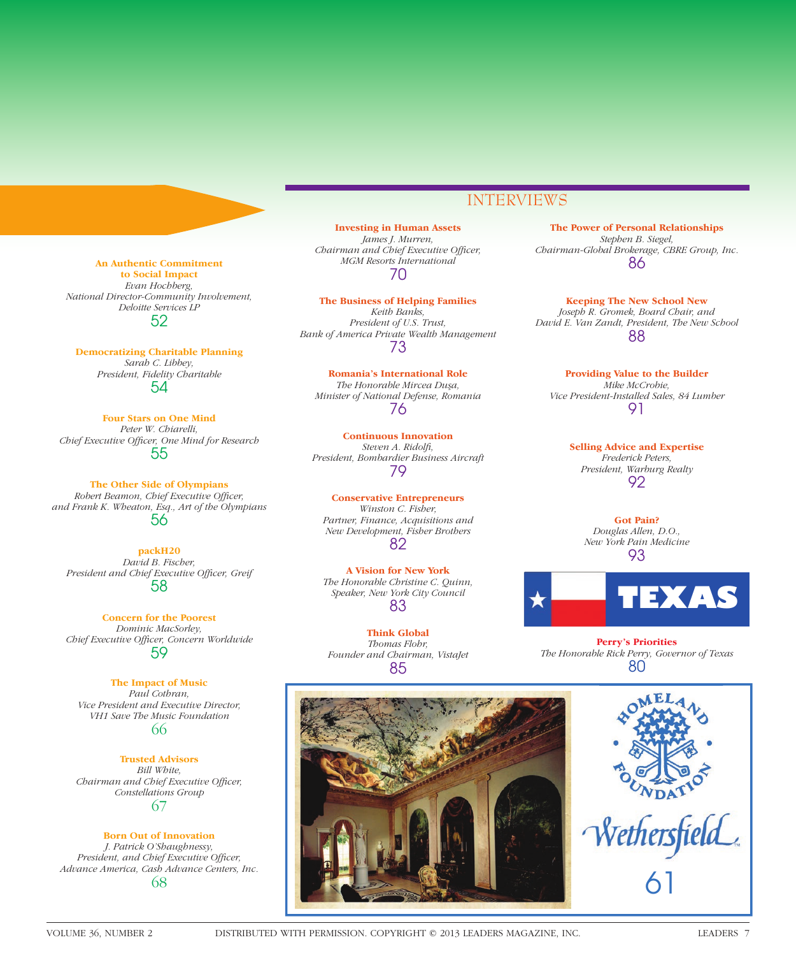#### INTERVIEWS

**An Authentic Commitment to Social Impact** *Evan Hochberg, National Director-Community Involvement, Deloitte Services LP* 52

**Democratizing Charitable Planning** *Sarah C. Libbey, President, Fidelity Charitable* 54

**Four Stars on One Mind** *Peter W. Chiarelli,*  **Chief Executive Officer, One Mind for Research** 55

**The Other Side of Olympians** *Robert Beamon, Chief Executive Officer, and Frank K. Wheaton, Esq., Art of the Olympians* 56

**packH20** *David B. Fischer, President and Chief Executive Officer, Greif* 58

**Concern for the Poorest** *Dominic MacSorley,*  **Chief Executive Officer, Concern Worldwide** 59

**The Impact of Music** *Paul Cothran, Vice President and Executive Director, VH1 Save The Music Foundation* 66

**Trusted Advisors** *Bill White, Chairman and Chief Executive Officer, Constellations Group* 67

**Born Out of Innovation** *J. Patrick O'Shaughnessy,*  President, and Chief Executive Officer, *Advance America, Cash Advance Centers, Inc.* 68

**Investing in Human Assets** *James J. Murren, Chairman and Chief Executive Officer, MGM Resorts International* 70

**The Business of Helping Families** *Keith Banks, President of U.S. Trust, Bank of America Private Wealth Management* 73

**Romania's International Role** *The Honorable Mircea Dus¸ a, Minister of National Defense, Romania* 76

**Continuous Innovation** Steven A. Ridolfi, *President, Bombardier Business Aircraft* 79

**Conservative Entrepreneurs** *Winston C. Fisher, Partner, Finance, Acquisitions and New Development, Fisher Brothers* 82

**A Vision for New York** *The Honorable Christine C. Quinn, Speaker, New York City Council* 83

**Think Global** *Thomas Flohr, Founder and Chairman, VistaJet* 85

**The Power of Personal Relationships** *Stephen B. Siegel, Chairman-Global Brokerage, CBRE Group, Inc.* 86

**Keeping The New School New** *Joseph R. Gromek, Board Chair, and David E. Van Zandt, President, The New School* 88

**Providing Value to the Builder** *Mike McCrobie, Vice President-Installed Sales, 84 Lumber* 91

> **Selling Advice and Expertise** *Frederick Peters, President, Warburg Realty* 92

> > **Got Pain?** *Douglas Allen, D.O., New York Pain Medicine* 93



**Perry's Priorities** *The Honorable Rick Perry, Governor of Texas* 80